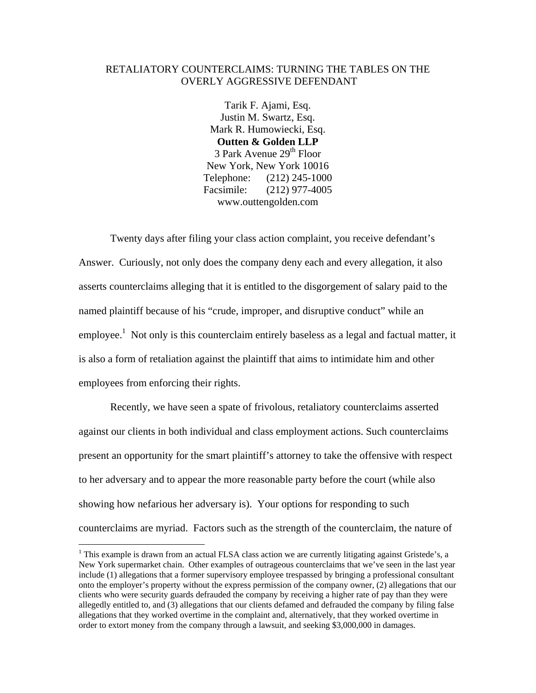# RETALIATORY COUNTERCLAIMS: TURNING THE TABLES ON THE OVERLY AGGRESSIVE DEFENDANT

Tarik F. Ajami, Esq. Justin M. Swartz, Esq. Mark R. Humowiecki, Esq. **Outten & Golden LLP**  3 Park Avenue  $29<sup>th</sup>$  Floor New York, New York 10016 Telephone: (212) 245-1000 Facsimile: (212) 977-4005 [www.outtengolden.com](http://www.outtengolden.com/)

Twenty days after filing your class action complaint, you receive defendant's Answer. Curiously, not only does the company deny each and every allegation, it also asserts counterclaims alleging that it is entitled to the disgorgement of salary paid to the named plaintiff because of his "crude, improper, and disruptive conduct" while an employee.<sup>[1](#page-0-0)</sup> Not only is this counterclaim entirely baseless as a legal and factual matter, it is also a form of retaliation against the plaintiff that aims to intimidate him and other employees from enforcing their rights.

Recently, we have seen a spate of frivolous, retaliatory counterclaims asserted against our clients in both individual and class employment actions. Such counterclaims present an opportunity for the smart plaintiff's attorney to take the offensive with respect to her adversary and to appear the more reasonable party before the court (while also showing how nefarious her adversary is). Your options for responding to such counterclaims are myriad. Factors such as the strength of the counterclaim, the nature of

 $\overline{\phantom{a}}$ 

<span id="page-0-0"></span><sup>&</sup>lt;sup>1</sup> This example is drawn from an actual FLSA class action we are currently litigating against Gristede's, a New York supermarket chain. Other examples of outrageous counterclaims that we've seen in the last year include (1) allegations that a former supervisory employee trespassed by bringing a professional consultant onto the employer's property without the express permission of the company owner, (2) allegations that our clients who were security guards defrauded the company by receiving a higher rate of pay than they were allegedly entitled to, and (3) allegations that our clients defamed and defrauded the company by filing false allegations that they worked overtime in the complaint and, alternatively, that they worked overtime in order to extort money from the company through a lawsuit, and seeking \$3,000,000 in damages.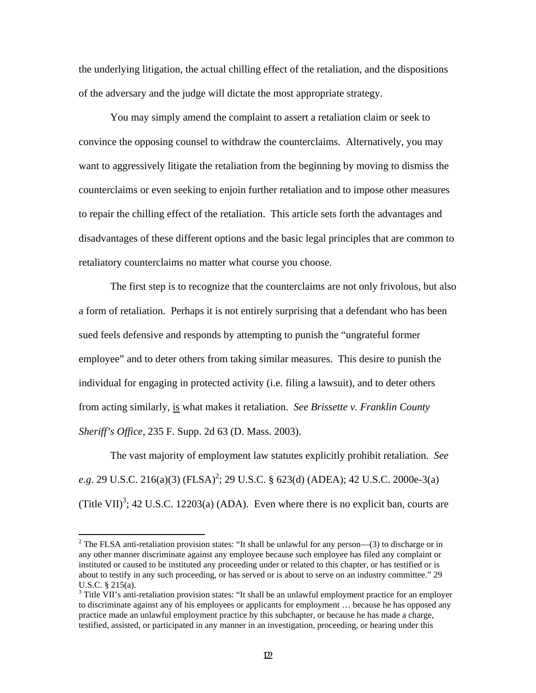the underlying litigation, the actual chilling effect of the retaliation, and the dispositions of the adversary and the judge will dictate the most appropriate strategy.

You may simply amend the complaint to assert a retaliation claim or seek to convince the opposing counsel to withdraw the counterclaims. Alternatively, you may want to aggressively litigate the retaliation from the beginning by moving to dismiss the counterclaims or even seeking to enjoin further retaliation and to impose other measures to repair the chilling effect of the retaliation. This article sets forth the advantages and disadvantages of these different options and the basic legal principles that are common to retaliatory counterclaims no matter what course you choose.

The first step is to recognize that the counterclaims are not only frivolous, but also a form of retaliation. Perhaps it is not entirely surprising that a defendant who has been sued feels defensive and responds by attempting to punish the "ungrateful former employee" and to deter others from taking similar measures. This desire to punish the individual for engaging in protected activity (i.e. filing a lawsuit), and to deter others from acting similarly, is what makes it retaliation. *See Brissette v. Franklin County Sheriff's Office,* 235 F. Supp. 2d 63 (D. Mass. 2003).

The vast majority of employment law statutes explicitly prohibit retaliation. *See e.g.* [2](#page-1-0)9 U.S.C. 216(a)(3) (FLSA)<sup>2</sup>; 29 U.S.C. § 623(d) (ADEA); 42 U.S.C. 2000e-3(a) (Title VII)<sup>[3](#page-1-1)</sup>; 42 U.S.C. 12203(a) (ADA). Even where there is no explicit ban, courts are

<span id="page-1-0"></span> $\frac{1}{2}$ <sup>2</sup> The FLSA anti-retaliation provision states: "It shall be unlawful for any person—(3) to discharge or in any other manner discriminate against any employee because such employee has filed any complaint or instituted or caused to be instituted any proceeding under or related to this chapter, or has testified or is about to testify in any such proceeding, or has served or is about to serve on an industry committee." 29 U.S.C.  $\S$  215(a).

<span id="page-1-1"></span><sup>&</sup>lt;sup>3</sup> Title VII's anti-retaliation provision states: "It shall be an unlawful employment practice for an employer to discriminate against any of his employees or applicants for employment … because he has opposed any practice made an unlawful employment practice by this subchapter, or because he has made a charge, testified, assisted, or participated in any manner in an investigation, proceeding, or hearing under this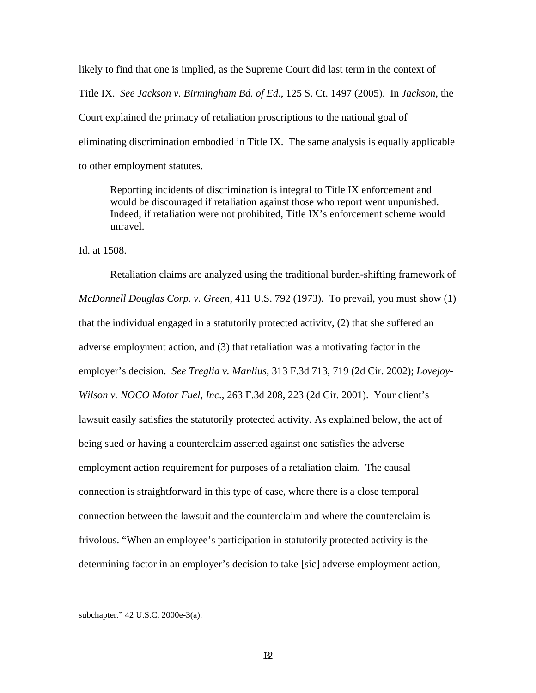likely to find that one is implied, as the Supreme Court did last term in the context of Title IX. *See Jackson v. Birmingham Bd. of Ed*., 125 S. Ct. 1497 (2005). In *Jackson,* the Court explained the primacy of retaliation proscriptions to the national goal of eliminating discrimination embodied in Title IX. The same analysis is equally applicable to other employment statutes.

Reporting incidents of discrimination is integral to Title IX enforcement and would be discouraged if retaliation against those who report went unpunished. Indeed, if retaliation were not prohibited, Title IX's enforcement scheme would unravel.

Id. at 1508.

Retaliation claims are analyzed using the traditional burden-shifting framework of *McDonnell Douglas Corp. v. Green*, 411 U.S. 792 (1973). To prevail, you must show (1) that the individual engaged in a statutorily protected activity, (2) that she suffered an adverse employment action, and (3) that retaliation was a motivating factor in the employer's decision. *See Treglia v. Manlius*, 313 F.3d 713, 719 (2d Cir. 2002); *Lovejoy-Wilson v. NOCO Motor Fuel, Inc*., 263 F.3d 208, 223 (2d Cir. 2001). Your client's lawsuit easily satisfies the statutorily protected activity. As explained below, the act of being sued or having a counterclaim asserted against one satisfies the adverse employment action requirement for purposes of a retaliation claim. The causal connection is straightforward in this type of case, where there is a close temporal connection between the lawsuit and the counterclaim and where the counterclaim is frivolous. "When an employee's participation in statutorily protected activity is the determining factor in an employer's decision to take [sic] adverse employment action,

subchapter." 42 U.S.C. 2000e-3(a).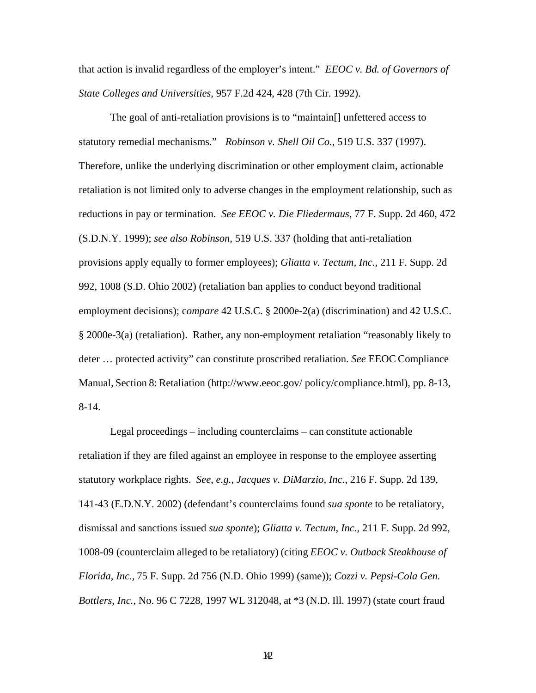that action is invalid regardless of the employer's intent." *EEOC v. Bd. of Governors of State Colleges and Universities*, 957 F.2d 424, 428 (7th Cir. 1992).

The goal of anti-retaliation provisions is to "maintain[] unfettered access to statutory remedial mechanisms." *Robinson v. Shell Oil Co.*, 519 U.S. 337 (1997). Therefore, unlike the underlying discrimination or other employment claim, actionable retaliation is not limited only to adverse changes in the employment relationship, such as reductions in pay or termination. *See EEOC v. Die Fliedermaus*, 77 F. Supp. 2d 460, 472 (S.D.N.Y. 1999); *see also Robinson*, 519 U.S. 337 (holding that anti-retaliation provisions apply equally to former employees); *Gliatta v. Tectum, Inc.*, 211 F. Supp. 2d 992, 1008 (S.D. Ohio 2002) (retaliation ban applies to conduct beyond traditional employment decisions); c*ompare* 42 U.S.C. § 2000e-2(a) (discrimination) and 42 U.S.C. § 2000e-3(a) (retaliation). Rather, any non-employment retaliation "reasonably likely to deter … protected activity" can constitute proscribed retaliation. *See* EEOC Compliance Manual, Section 8: Retaliation [\(http://www.eeoc.gov/ policy/compliance.](http://www.eeoc.gov/ policy/compliance)html), pp. 8-13, 8-14.

Legal proceedings – including counterclaims – can constitute actionable retaliation if they are filed against an employee in response to the employee asserting statutory workplace rights. *See*, *e.g.*, *Jacques v. DiMarzio, Inc.*, 216 F. Supp. 2d 139, 141-43 (E.D.N.Y. 2002) (defendant's counterclaims found *sua sponte* to be retaliatory, dismissal and sanctions issued *sua sponte*); *Gliatta v. Tectum, Inc.*, 211 F. Supp. 2d 992, 1008-09 (counterclaim alleged to be retaliatory) (citing *EEOC v. Outback Steakhouse of Florida, Inc.*, 75 F. Supp. 2d 756 (N.D. Ohio 1999) (same)); *Cozzi v. Pepsi-Cola Gen. Bottlers, Inc.*, No. 96 C 7228, 1997 WL 312048, at \*3 (N.D. Ill. 1997) (state court fraud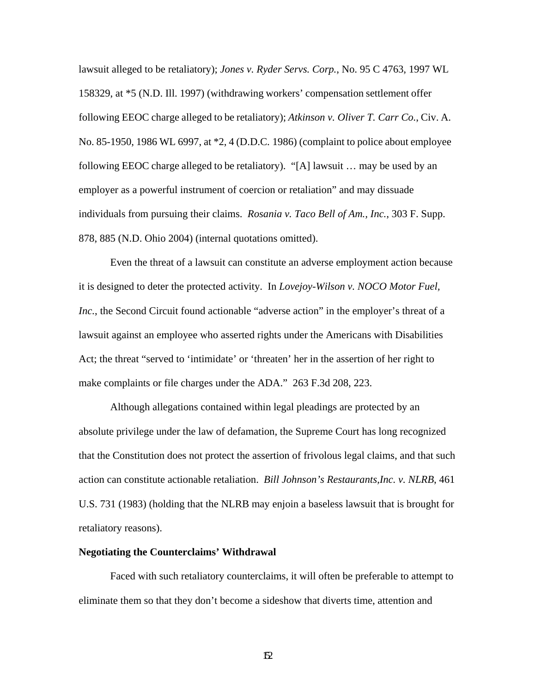lawsuit alleged to be retaliatory); *Jones v. Ryder Servs. Corp.*, No. 95 C 4763, 1997 WL 158329, at \*5 (N.D. Ill. 1997) (withdrawing workers' compensation settlement offer following EEOC charge alleged to be retaliatory); *Atkinson v. Oliver T. Carr Co.*, Civ. A. No. 85-1950, 1986 WL 6997, at \*2, 4 (D.D.C. 1986) (complaint to police about employee following EEOC charge alleged to be retaliatory). "[A] lawsuit … may be used by an employer as a powerful instrument of coercion or retaliation" and may dissuade individuals from pursuing their claims. *Rosania v. Taco Bell of Am., Inc.*, 303 F. Supp. 878, 885 (N.D. Ohio 2004) (internal quotations omitted).

Even the threat of a lawsuit can constitute an adverse employment action because it is designed to deter the protected activity. In *Lovejoy-Wilson v. NOCO Motor Fuel, Inc.*, the Second Circuit found actionable "adverse action" in the employer's threat of a lawsuit against an employee who asserted rights under the Americans with Disabilities Act; the threat "served to 'intimidate' or 'threaten' her in the assertion of her right to make complaints or file charges under the ADA." 263 F.3d 208, 223.

Although allegations contained within legal pleadings are protected by an absolute privilege under the law of defamation, the Supreme Court has long recognized that the Constitution does not protect the assertion of frivolous legal claims, and that such action can constitute actionable retaliation. *Bill Johnson's Restaurants,Inc. v. NLRB*, 461 U.S. 731 (1983) (holding that the NLRB may enjoin a baseless lawsuit that is brought for retaliatory reasons).

#### **Negotiating the Counterclaims' Withdrawal**

Faced with such retaliatory counterclaims, it will often be preferable to attempt to eliminate them so that they don't become a sideshow that diverts time, attention and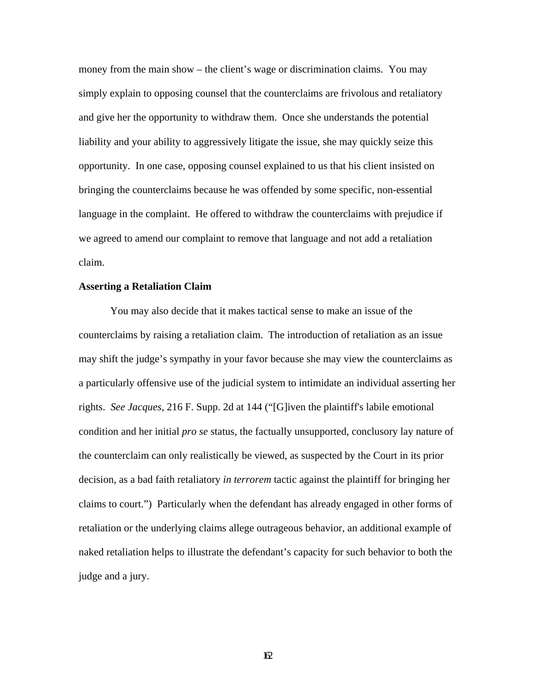money from the main show – the client's wage or discrimination claims. You may simply explain to opposing counsel that the counterclaims are frivolous and retaliatory and give her the opportunity to withdraw them. Once she understands the potential liability and your ability to aggressively litigate the issue, she may quickly seize this opportunity. In one case, opposing counsel explained to us that his client insisted on bringing the counterclaims because he was offended by some specific, non-essential language in the complaint. He offered to withdraw the counterclaims with prejudice if we agreed to amend our complaint to remove that language and not add a retaliation claim.

### **Asserting a Retaliation Claim**

You may also decide that it makes tactical sense to make an issue of the counterclaims by raising a retaliation claim. The introduction of retaliation as an issue may shift the judge's sympathy in your favor because she may view the counterclaims as a particularly offensive use of the judicial system to intimidate an individual asserting her rights. *See Jacques*, 216 F. Supp. 2d at 144 ("[G]iven the plaintiff's labile emotional condition and her initial *pro se* status, the factually unsupported, conclusory lay nature of the counterclaim can only realistically be viewed, as suspected by the Court in its prior decision, as a bad faith retaliatory *in terrorem* tactic against the plaintiff for bringing her claims to court.") Particularly when the defendant has already engaged in other forms of retaliation or the underlying claims allege outrageous behavior, an additional example of naked retaliation helps to illustrate the defendant's capacity for such behavior to both the judge and a jury.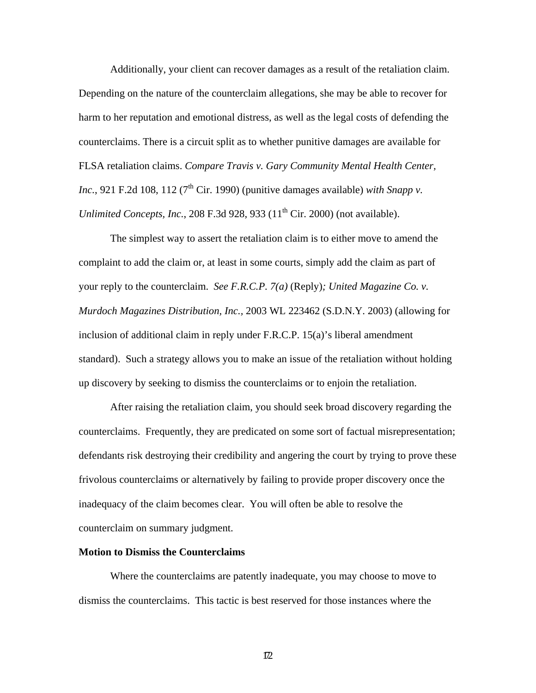Additionally, your client can recover damages as a result of the retaliation claim. Depending on the nature of the counterclaim allegations, she may be able to recover for harm to her reputation and emotional distress, as well as the legal costs of defending the counterclaims. There is a circuit split as to whether punitive damages are available for FLSA retaliation claims. *Compare Travis v. Gary Community Mental Health Center, Inc.*, 921 F.2d 108, 112 ( $7<sup>th</sup>$  Cir. 1990) (punitive damages available) *with Snapp v. Unlimited Concepts, Inc., 208 F.3d 928, 933*  $(11<sup>th</sup> Cir. 2000)$  (not available).

The simplest way to assert the retaliation claim is to either move to amend the complaint to add the claim or, at least in some courts, simply add the claim as part of your reply to the counterclaim. *See F.R.C.P. 7(a)* (Reply)*; United Magazine Co. v. Murdoch Magazines Distribution, Inc.,* 2003 WL 223462 (S.D.N.Y. 2003) (allowing for inclusion of additional claim in reply under F.R.C.P. 15(a)'s liberal amendment standard). Such a strategy allows you to make an issue of the retaliation without holding up discovery by seeking to dismiss the counterclaims or to enjoin the retaliation.

After raising the retaliation claim, you should seek broad discovery regarding the counterclaims. Frequently, they are predicated on some sort of factual misrepresentation; defendants risk destroying their credibility and angering the court by trying to prove these frivolous counterclaims or alternatively by failing to provide proper discovery once the inadequacy of the claim becomes clear. You will often be able to resolve the counterclaim on summary judgment.

### **Motion to Dismiss the Counterclaims**

Where the counterclaims are patently inadequate, you may choose to move to dismiss the counterclaims. This tactic is best reserved for those instances where the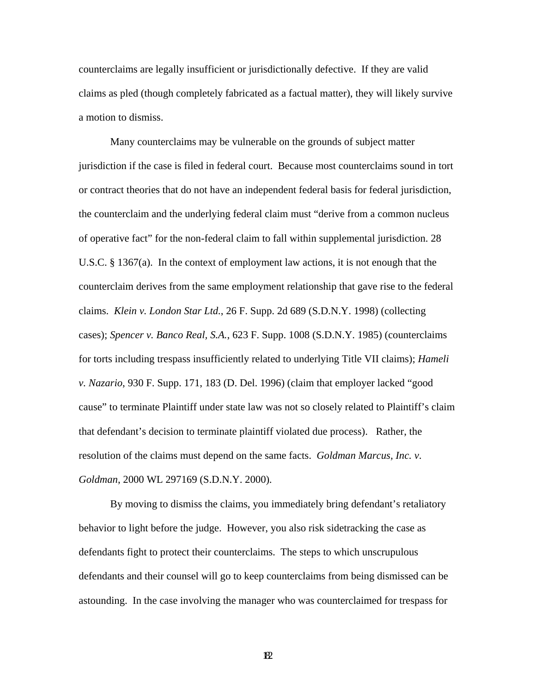counterclaims are legally insufficient or jurisdictionally defective. If they are valid claims as pled (though completely fabricated as a factual matter), they will likely survive a motion to dismiss.

Many counterclaims may be vulnerable on the grounds of subject matter jurisdiction if the case is filed in federal court. Because most counterclaims sound in tort or contract theories that do not have an independent federal basis for federal jurisdiction, the counterclaim and the underlying federal claim must "derive from a common nucleus of operative fact" for the non-federal claim to fall within supplemental jurisdiction. 28 U.S.C. § 1367(a). In the context of employment law actions, it is not enough that the counterclaim derives from the same employment relationship that gave rise to the federal claims. *Klein v. London Star Ltd.*, 26 F. Supp. 2d 689 (S.D.N.Y. 1998) (collecting cases); *Spencer v. Banco Real, S.A.*, 623 F. Supp. 1008 (S.D.N.Y. 1985) (counterclaims for torts including trespass insufficiently related to underlying Title VII claims); *Hameli v. Nazario*, 930 F. Supp. 171, 183 (D. Del. 1996) (claim that employer lacked "good cause" to terminate Plaintiff under state law was not so closely related to Plaintiff's claim that defendant's decision to terminate plaintiff violated due process). Rather, the resolution of the claims must depend on the same facts. *Goldman Marcus, Inc. v*. *Goldman*, 2000 WL 297169 (S.D.N.Y. 2000)*.* 

By moving to dismiss the claims, you immediately bring defendant's retaliatory behavior to light before the judge. However, you also risk sidetracking the case as defendants fight to protect their counterclaims. The steps to which unscrupulous defendants and their counsel will go to keep counterclaims from being dismissed can be astounding. In the case involving the manager who was counterclaimed for trespass for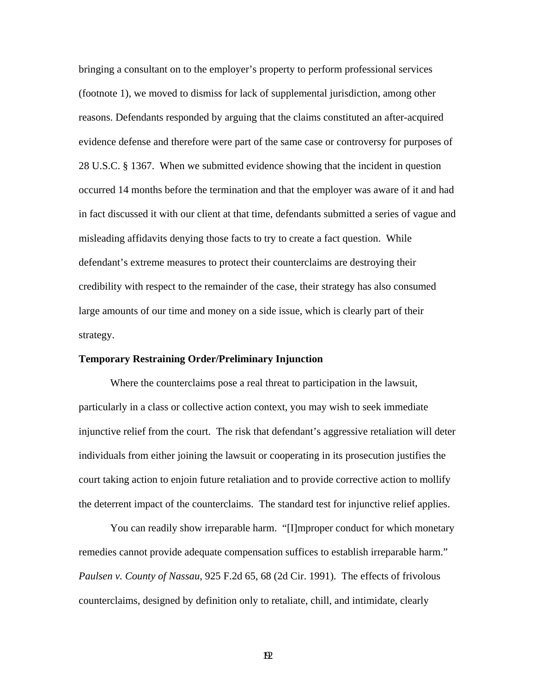bringing a consultant on to the employer's property to perform professional services (footnote 1), we moved to dismiss for lack of supplemental jurisdiction, among other reasons. Defendants responded by arguing that the claims constituted an after-acquired evidence defense and therefore were part of the same case or controversy for purposes of 28 U.S.C. § 1367. When we submitted evidence showing that the incident in question occurred 14 months before the termination and that the employer was aware of it and had in fact discussed it with our client at that time, defendants submitted a series of vague and misleading affidavits denying those facts to try to create a fact question. While defendant's extreme measures to protect their counterclaims are destroying their credibility with respect to the remainder of the case, their strategy has also consumed large amounts of our time and money on a side issue, which is clearly part of their strategy.

## **Temporary Restraining Order/Preliminary Injunction**

Where the counterclaims pose a real threat to participation in the lawsuit, particularly in a class or collective action context, you may wish to seek immediate injunctive relief from the court. The risk that defendant's aggressive retaliation will deter individuals from either joining the lawsuit or cooperating in its prosecution justifies the court taking action to enjoin future retaliation and to provide corrective action to mollify the deterrent impact of the counterclaims. The standard test for injunctive relief applies.

You can readily show irreparable harm. "[I]mproper conduct for which monetary remedies cannot provide adequate compensation suffices to establish irreparable harm." *Paulsen v. County of Nassau*, 925 F.2d 65, 68 (2d Cir. 1991). The effects of frivolous counterclaims, designed by definition only to retaliate, chill, and intimidate, clearly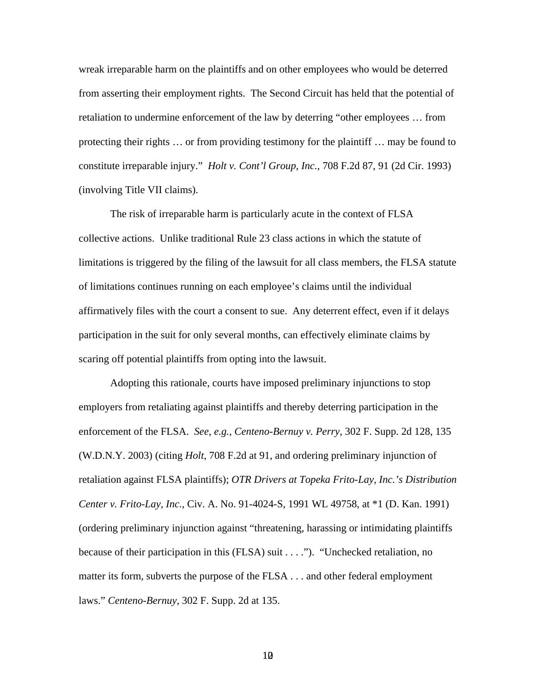wreak irreparable harm on the plaintiffs and on other employees who would be deterred from asserting their employment rights. The Second Circuit has held that the potential of retaliation to undermine enforcement of the law by deterring "other employees … from protecting their rights … or from providing testimony for the plaintiff … may be found to constitute irreparable injury." *Holt v. Cont'l Group, Inc.*, 708 F.2d 87, 91 (2d Cir. 1993) (involving Title VII claims).

The risk of irreparable harm is particularly acute in the context of FLSA collective actions. Unlike traditional Rule 23 class actions in which the statute of limitations is triggered by the filing of the lawsuit for all class members, the FLSA statute of limitations continues running on each employee's claims until the individual affirmatively files with the court a consent to sue. Any deterrent effect, even if it delays participation in the suit for only several months, can effectively eliminate claims by scaring off potential plaintiffs from opting into the lawsuit.

Adopting this rationale, courts have imposed preliminary injunctions to stop employers from retaliating against plaintiffs and thereby deterring participation in the enforcement of the FLSA. *See, e.g., Centeno-Bernuy v. Perry*, 302 F. Supp. 2d 128, 135 (W.D.N.Y. 2003) (citing *Holt*, 708 F.2d at 91, and ordering preliminary injunction of retaliation against FLSA plaintiffs); *OTR Drivers at Topeka Frito-Lay, Inc.'s Distribution Center v. Frito-Lay, Inc.*, Civ. A. No. 91-4024-S, 1991 WL 49758, at \*1 (D. Kan. 1991) (ordering preliminary injunction against "threatening, harassing or intimidating plaintiffs because of their participation in this (FLSA) suit . . . ."). "Unchecked retaliation, no matter its form, subverts the purpose of the FLSA . . . and other federal employment laws." *Centeno-Bernuy*, 302 F. Supp. 2d at 135.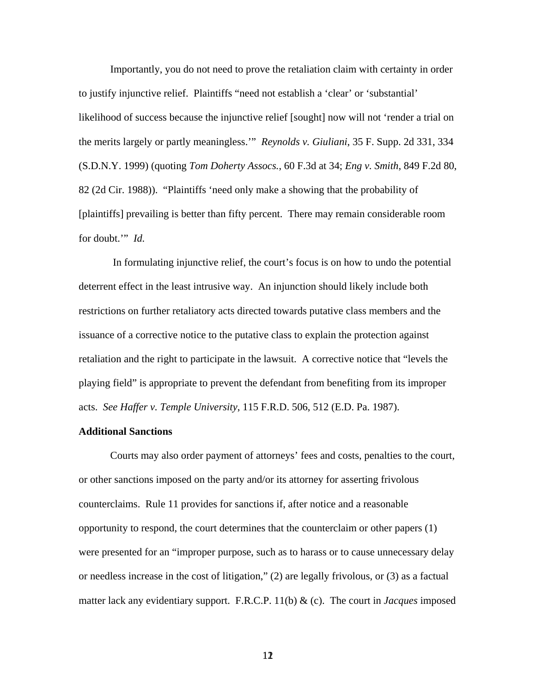Importantly, you do not need to prove the retaliation claim with certainty in order to justify injunctive relief. Plaintiffs "need not establish a 'clear' or 'substantial' likelihood of success because the injunctive relief [sought] now will not 'render a trial on the merits largely or partly meaningless.'" *Reynolds v. Giuliani*, 35 F. Supp. 2d 331, 334 (S.D.N.Y. 1999) (quoting *Tom Doherty Assocs.*, 60 F.3d at 34; *Eng v. Smith*, 849 F.2d 80, 82 (2d Cir. 1988)). "Plaintiffs 'need only make a showing that the probability of [plaintiffs] prevailing is better than fifty percent. There may remain considerable room for doubt.'" *Id.*

 In formulating injunctive relief, the court's focus is on how to undo the potential deterrent effect in the least intrusive way. An injunction should likely include both restrictions on further retaliatory acts directed towards putative class members and the issuance of a corrective notice to the putative class to explain the protection against retaliation and the right to participate in the lawsuit. A corrective notice that "levels the playing field" is appropriate to prevent the defendant from benefiting from its improper acts. *See Haffer v. Temple University*, 115 F.R.D. 506, 512 (E.D. Pa. 1987).

# **Additional Sanctions**

Courts may also order payment of attorneys' fees and costs, penalties to the court, or other sanctions imposed on the party and/or its attorney for asserting frivolous counterclaims. Rule 11 provides for sanctions if, after notice and a reasonable opportunity to respond, the court determines that the counterclaim or other papers (1) were presented for an "improper purpose, such as to harass or to cause unnecessary delay or needless increase in the cost of litigation," (2) are legally frivolous, or (3) as a factual matter lack any evidentiary support. F.R.C.P. 11(b) & (c). The court in *Jacques* imposed